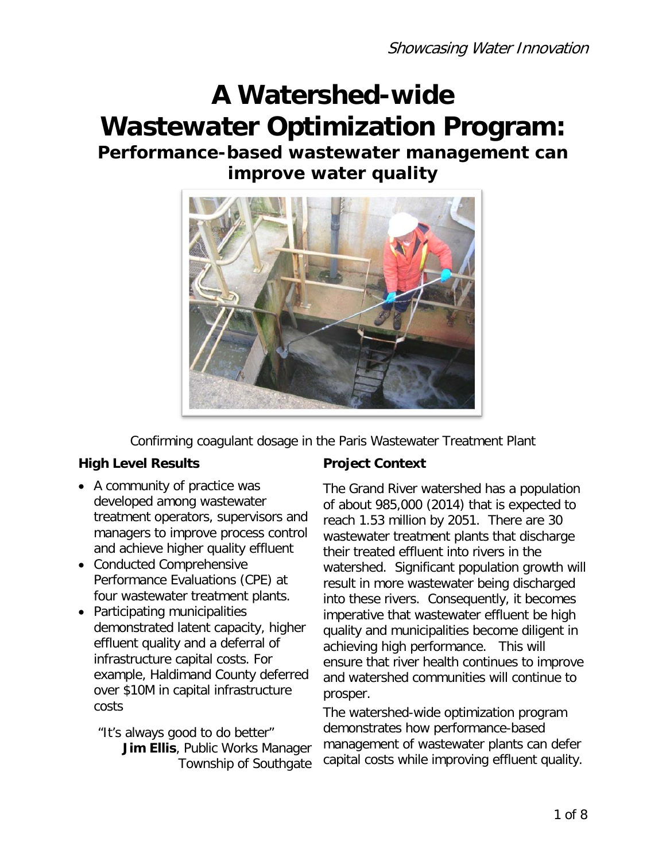# **A Watershed-wide Wastewater Optimization Program:**

## **Performance-based wastewater management can improve water quality**



Confirming coagulant dosage in the Paris Wastewater Treatment Plant

#### **High Level Results Froject Context**

- A community of practice was developed among wastewater treatment operators, supervisors and managers to improve process control and achieve higher quality effluent
- Conducted Comprehensive Performance Evaluations (CPE) at four wastewater treatment plants.
- Participating municipalities demonstrated latent capacity, higher effluent quality and a deferral of infrastructure capital costs. For example, Haldimand County deferred over \$10M in capital infrastructure costs

"It's always good to do better" **Jim Ellis**, Public Works Manager Township of Southgate

The Grand River watershed has a population of about 985,000 (2014) that is expected to reach 1.53 million by 2051. There are 30 wastewater treatment plants that discharge their treated effluent into rivers in the watershed. Significant population growth will result in more wastewater being discharged into these rivers. Consequently, it becomes imperative that wastewater effluent be high quality and municipalities become diligent in achieving high performance. This will ensure that river health continues to improve and watershed communities will continue to prosper.

The watershed-wide optimization program demonstrates how performance-based management of wastewater plants can defer capital costs while improving effluent quality.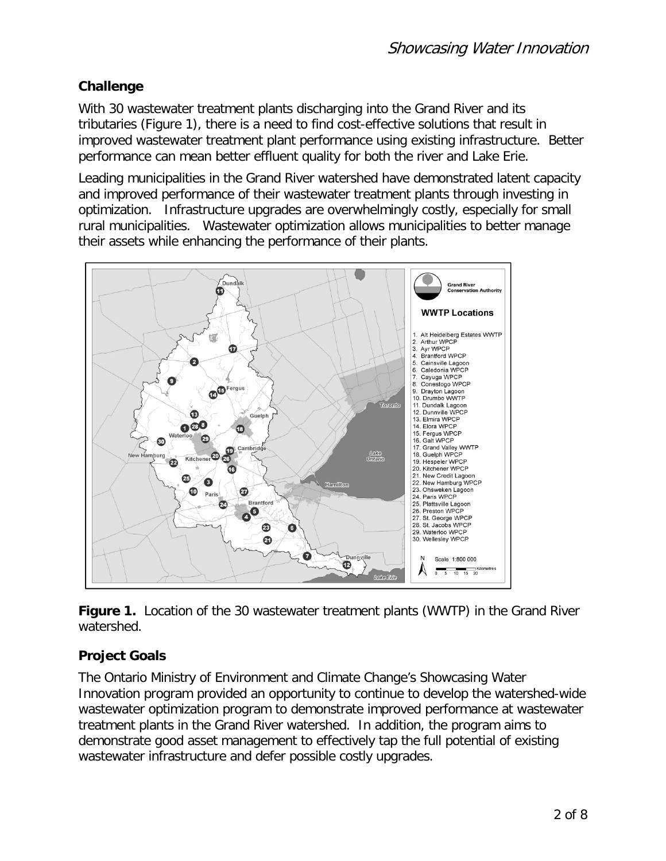#### **Challenge**

With 30 wastewater treatment plants discharging into the Grand River and its tributaries (Figure 1), there is a need to find cost-effective solutions that result in improved wastewater treatment plant performance using existing infrastructure. Better performance can mean better effluent quality for both the river and Lake Erie.

Leading municipalities in the Grand River watershed have demonstrated latent capacity and improved performance of their wastewater treatment plants through investing in optimization. Infrastructure upgrades are overwhelmingly costly, especially for small rural municipalities. Wastewater optimization allows municipalities to better manage their assets while enhancing the performance of their plants.



**Figure 1.** Location of the 30 wastewater treatment plants (WWTP) in the Grand River watershed.

### **Project Goals**

The Ontario Ministry of Environment and Climate Change's Showcasing Water Innovation program provided an opportunity to continue to develop the watershed-wide wastewater optimization program to demonstrate improved performance at wastewater treatment plants in the Grand River watershed. In addition, the program aims to demonstrate good asset management to effectively tap the full potential of existing wastewater infrastructure and defer possible costly upgrades.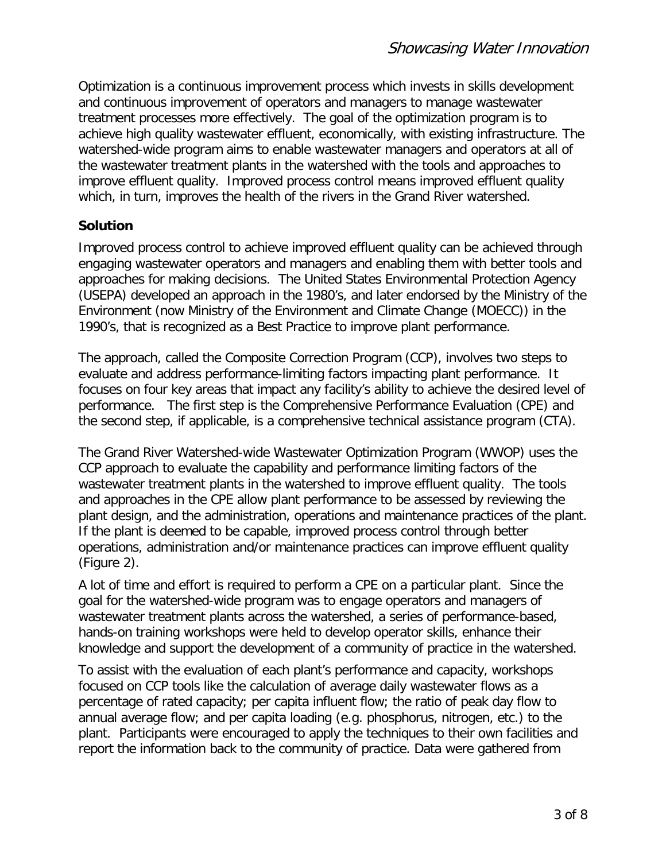Optimization is a continuous improvement process which invests in skills development and continuous improvement of operators and managers to manage wastewater treatment processes more effectively. The goal of the optimization program is to achieve high quality wastewater effluent, economically, with existing infrastructure. The watershed-wide program aims to enable wastewater managers and operators at all of the wastewater treatment plants in the watershed with the tools and approaches to improve effluent quality. Improved process control means improved effluent quality which, in turn, improves the health of the rivers in the Grand River watershed.

#### **Solution**

Improved process control to achieve improved effluent quality can be achieved through engaging wastewater operators and managers and enabling them with better tools and approaches for making decisions. The United States Environmental Protection Agency (USEPA) developed an approach in the 1980's, and later endorsed by the Ministry of the Environment (now Ministry of the Environment and Climate Change (MOECC)) in the 1990's, that is recognized as a Best Practice to improve plant performance.

The approach, called the Composite Correction Program (CCP), involves two steps to evaluate and address performance-limiting factors impacting plant performance. It focuses on four key areas that impact any facility's ability to achieve the desired level of performance. The first step is the Comprehensive Performance Evaluation (CPE) and the second step, if applicable, is a comprehensive technical assistance program (CTA).

The Grand River Watershed-wide Wastewater Optimization Program (WWOP) uses the CCP approach to evaluate the capability and performance limiting factors of the wastewater treatment plants in the watershed to improve effluent quality. The tools and approaches in the CPE allow plant performance to be assessed by reviewing the plant design, and the administration, operations and maintenance practices of the plant. If the plant is deemed to be capable, improved process control through better operations, administration and/or maintenance practices can improve effluent quality (Figure 2).

A lot of time and effort is required to perform a CPE on a particular plant. Since the goal for the watershed-wide program was to engage operators and managers of wastewater treatment plants across the watershed, a series of performance-based, hands-on training workshops were held to develop operator skills, enhance their knowledge and support the development of a community of practice in the watershed.

To assist with the evaluation of each plant's performance and capacity, workshops focused on CCP tools like the calculation of average daily wastewater flows as a percentage of rated capacity; per capita influent flow; the ratio of peak day flow to annual average flow; and per capita loading (e.g. phosphorus, nitrogen, etc.) to the plant. Participants were encouraged to apply the techniques to their own facilities and report the information back to the community of practice. Data were gathered from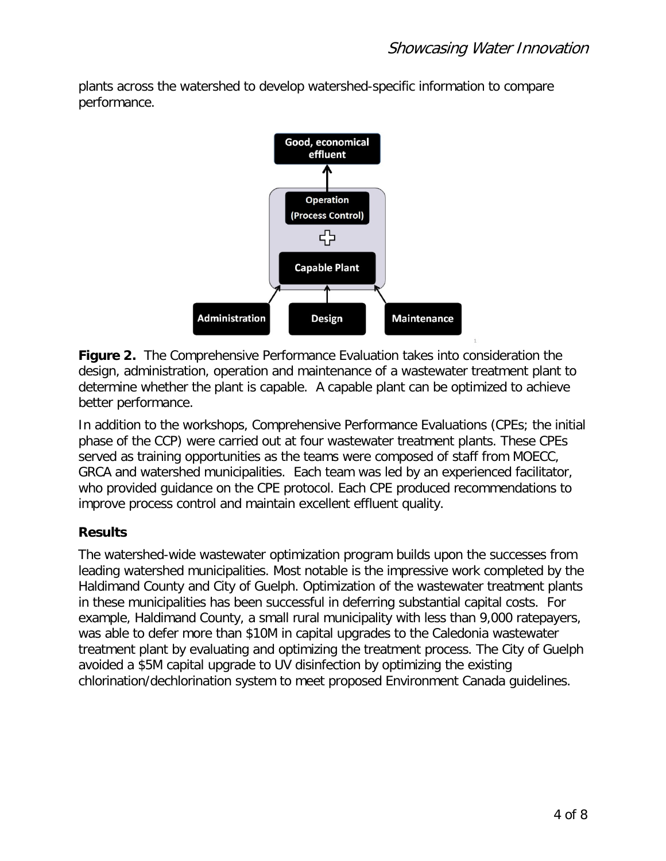plants across the watershed to develop watershed-specific information to compare performance.



**Figure 2.** The Comprehensive Performance Evaluation takes into consideration the design, administration, operation and maintenance of a wastewater treatment plant to determine whether the plant is capable. A capable plant can be optimized to achieve better performance.

In addition to the workshops, Comprehensive Performance Evaluations (CPEs; the initial phase of the CCP) were carried out at four wastewater treatment plants. These CPEs served as training opportunities as the teams were composed of staff from MOECC, GRCA and watershed municipalities. Each team was led by an experienced facilitator, who provided guidance on the CPE protocol. Each CPE produced recommendations to improve process control and maintain excellent effluent quality.

#### **Results**

The watershed-wide wastewater optimization program builds upon the successes from leading watershed municipalities. Most notable is the impressive work completed by the Haldimand County and City of Guelph. Optimization of the wastewater treatment plants in these municipalities has been successful in deferring substantial capital costs. For example, Haldimand County, a small rural municipality with less than 9,000 ratepayers, was able to defer more than \$10M in capital upgrades to the Caledonia wastewater treatment plant by evaluating and optimizing the treatment process. The City of Guelph avoided a \$5M capital upgrade to UV disinfection by optimizing the existing chlorination/dechlorination system to meet proposed Environment Canada guidelines.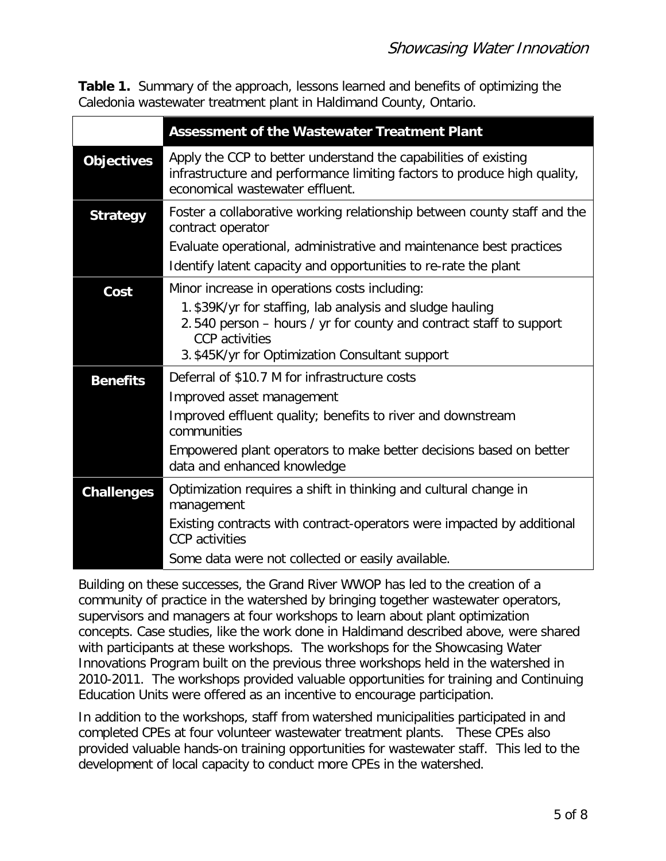**Table 1.** Summary of the approach, lessons learned and benefits of optimizing the Caledonia wastewater treatment plant in Haldimand County, Ontario.

|                   | <b>Assessment of the Wastewater Treatment Plant</b>                                                                                                                                                                                                           |
|-------------------|---------------------------------------------------------------------------------------------------------------------------------------------------------------------------------------------------------------------------------------------------------------|
| <b>Objectives</b> | Apply the CCP to better understand the capabilities of existing<br>infrastructure and performance limiting factors to produce high quality,<br>economical wastewater effluent.                                                                                |
| <b>Strategy</b>   | Foster a collaborative working relationship between county staff and the<br>contract operator<br>Evaluate operational, administrative and maintenance best practices<br>Identify latent capacity and opportunities to re-rate the plant                       |
| Cost              | Minor increase in operations costs including:<br>1. \$39K/yr for staffing, lab analysis and sludge hauling<br>2.540 person – hours / yr for county and contract staff to support<br><b>CCP</b> activities<br>3. \$45K/yr for Optimization Consultant support  |
| <b>Benefits</b>   | Deferral of \$10.7 M for infrastructure costs<br>Improved asset management<br>Improved effluent quality; benefits to river and downstream<br>communities<br>Empowered plant operators to make better decisions based on better<br>data and enhanced knowledge |
| <b>Challenges</b> | Optimization requires a shift in thinking and cultural change in<br>management<br>Existing contracts with contract-operators were impacted by additional<br><b>CCP</b> activities<br>Some data were not collected or easily available.                        |

Building on these successes, the Grand River WWOP has led to the creation of a community of practice in the watershed by bringing together wastewater operators, supervisors and managers at four workshops to learn about plant optimization concepts. Case studies, like the work done in Haldimand described above, were shared with participants at these workshops. The workshops for the Showcasing Water Innovations Program built on the previous three workshops held in the watershed in 2010-2011. The workshops provided valuable opportunities for training and Continuing Education Units were offered as an incentive to encourage participation.

In addition to the workshops, staff from watershed municipalities participated in and completed CPEs at four volunteer wastewater treatment plants. These CPEs also provided valuable hands-on training opportunities for wastewater staff. This led to the development of local capacity to conduct more CPEs in the watershed.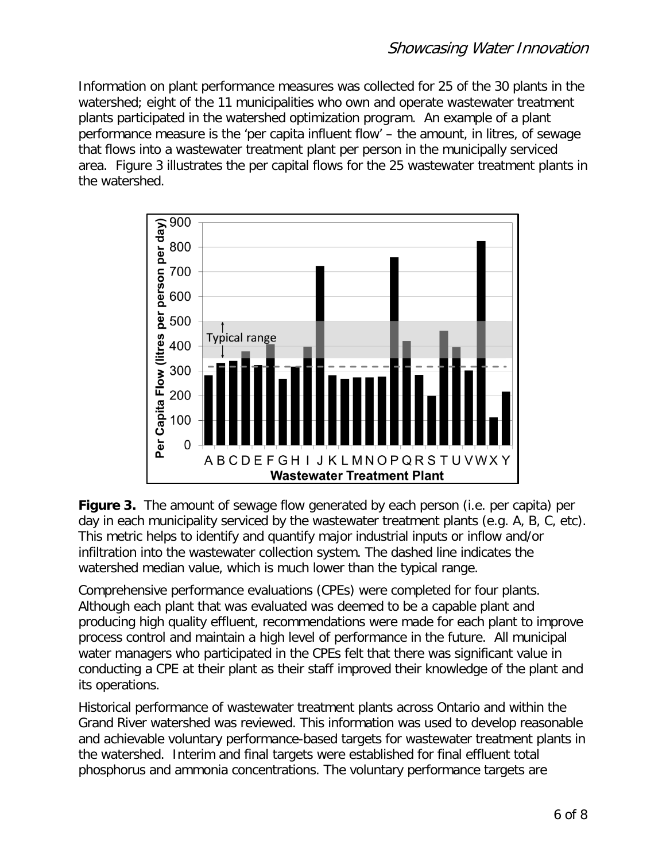Information on plant performance measures was collected for 25 of the 30 plants in the watershed; eight of the 11 municipalities who own and operate wastewater treatment plants participated in the watershed optimization program. An example of a plant performance measure is the 'per capita influent flow' – the amount, in litres, of sewage that flows into a wastewater treatment plant per person in the municipally serviced area. Figure 3 illustrates the per capital flows for the 25 wastewater treatment plants in the watershed.



**Figure 3.** The amount of sewage flow generated by each person (i.e. per capita) per day in each municipality serviced by the wastewater treatment plants (e.g. A, B, C, etc). This metric helps to identify and quantify major industrial inputs or inflow and/or infiltration into the wastewater collection system. The dashed line indicates the watershed median value, which is much lower than the typical range.

Comprehensive performance evaluations (CPEs) were completed for four plants. Although each plant that was evaluated was deemed to be a capable plant and producing high quality effluent, recommendations were made for each plant to improve process control and maintain a high level of performance in the future. All municipal water managers who participated in the CPEs felt that there was significant value in conducting a CPE at their plant as their staff improved their knowledge of the plant and its operations.

Historical performance of wastewater treatment plants across Ontario and within the Grand River watershed was reviewed. This information was used to develop reasonable and achievable voluntary performance-based targets for wastewater treatment plants in the watershed. Interim and final targets were established for final effluent total phosphorus and ammonia concentrations. The voluntary performance targets are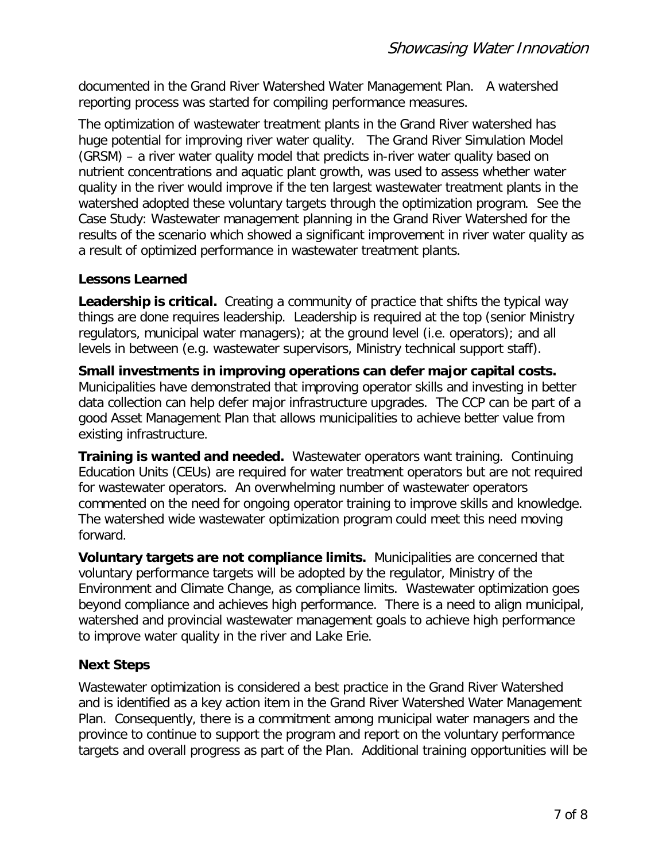documented in the Grand River Watershed Water Management Plan. A watershed reporting process was started for compiling performance measures.

The optimization of wastewater treatment plants in the Grand River watershed has huge potential for improving river water quality. The Grand River Simulation Model (GRSM) – a river water quality model that predicts in-river water quality based on nutrient concentrations and aquatic plant growth, was used to assess whether water quality in the river would improve if the ten largest wastewater treatment plants in the watershed adopted these voluntary targets through the optimization program. See the Case Study: Wastewater management planning in the Grand River Watershed for the results of the scenario which showed a significant improvement in river water quality as a result of optimized performance in wastewater treatment plants.

#### **Lessons Learned**

**Leadership is critical.** Creating a community of practice that shifts the typical way things are done requires leadership. Leadership is required at the top (senior Ministry regulators, municipal water managers); at the ground level (i.e. operators); and all levels in between (e.g. wastewater supervisors, Ministry technical support staff).

**Small investments in improving operations can defer major capital costs.**  Municipalities have demonstrated that improving operator skills and investing in better data collection can help defer major infrastructure upgrades. The CCP can be part of a good Asset Management Plan that allows municipalities to achieve better value from existing infrastructure.

**Training is wanted and needed.** Wastewater operators want training. Continuing Education Units (CEUs) are required for water treatment operators but are not required for wastewater operators. An overwhelming number of wastewater operators commented on the need for ongoing operator training to improve skills and knowledge. The watershed wide wastewater optimization program could meet this need moving forward.

**Voluntary targets are not compliance limits.** Municipalities are concerned that voluntary performance targets will be adopted by the regulator, Ministry of the Environment and Climate Change, as compliance limits. Wastewater optimization goes beyond compliance and achieves high performance. There is a need to align municipal, watershed and provincial wastewater management goals to achieve high performance to improve water quality in the river and Lake Erie.

#### **Next Steps**

Wastewater optimization is considered a best practice in the Grand River Watershed and is identified as a key action item in the Grand River Watershed Water Management Plan. Consequently, there is a commitment among municipal water managers and the province to continue to support the program and report on the voluntary performance targets and overall progress as part of the Plan. Additional training opportunities will be